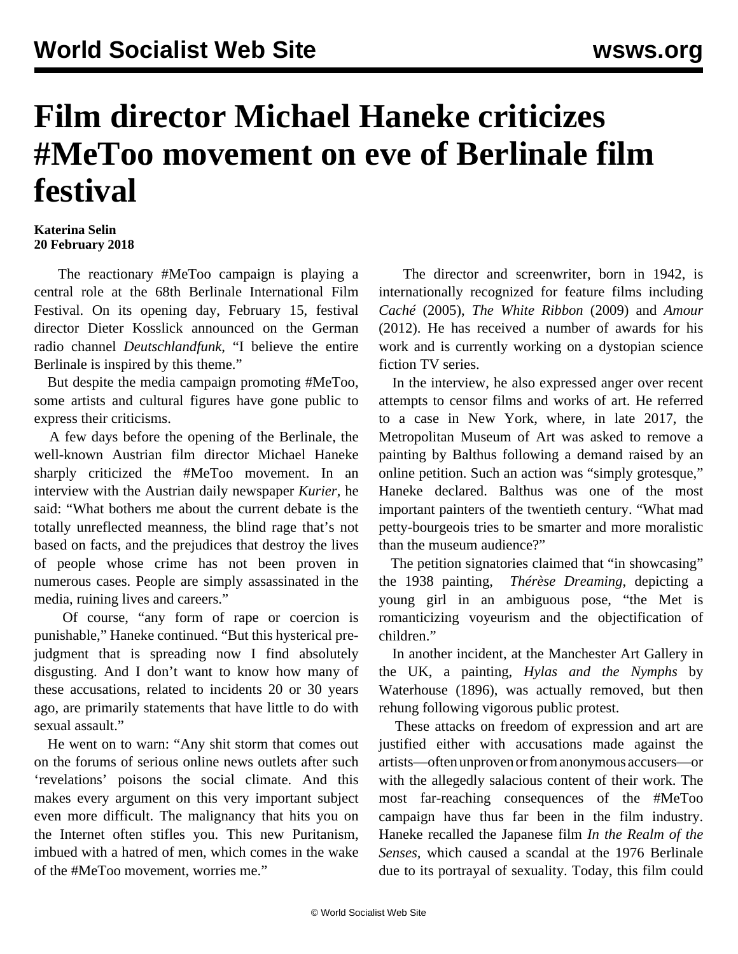## **Film director Michael Haneke criticizes #MeToo movement on eve of Berlinale film festival**

## **Katerina Selin 20 February 2018**

 The reactionary #MeToo campaign is playing a central role at the 68th Berlinale International Film Festival. On its opening day, February 15, festival director Dieter Kosslick announced on the German radio channel *Deutschlandfunk*, "I believe the entire Berlinale is inspired by this theme."

 But despite the media campaign promoting #MeToo, some artists and cultural figures have gone public to express their criticisms.

 A few days before the opening of the Berlinale, the well-known Austrian film director Michael Haneke sharply criticized the #MeToo movement. In an interview with the Austrian daily newspaper *Kurier,* he said: "What bothers me about the current debate is the totally unreflected meanness, the blind rage that's not based on facts, and the prejudices that destroy the lives of people whose crime has not been proven in numerous cases. People are simply assassinated in the media, ruining lives and careers."

 Of course, "any form of rape or coercion is punishable," Haneke continued. "But this hysterical prejudgment that is spreading now I find absolutely disgusting. And I don't want to know how many of these accusations, related to incidents 20 or 30 years ago, are primarily statements that have little to do with sexual assault."

 He went on to warn: "Any shit storm that comes out on the forums of serious online news outlets after such 'revelations' poisons the social climate. And this makes every argument on this very important subject even more difficult. The malignancy that hits you on the Internet often stifles you. This new Puritanism, imbued with a hatred of men, which comes in the wake of the #MeToo movement, worries me."

 The director and screenwriter, born in 1942, is internationally recognized for feature films including *Caché* (2005), *The White Ribbon* (2009) and *Amour* (2012). He has received a number of awards for his work and is currently working on a dystopian science fiction TV series.

 In the interview, he also expressed anger over recent attempts to censor films and works of art. He referred to a case in New York, where, in late 2017, the Metropolitan Museum of Art was asked to remove a painting by Balthus following a demand raised by an online petition. Such an action was "simply grotesque," Haneke declared. Balthus was one of the most important painters of the twentieth century. "What mad petty-bourgeois tries to be smarter and more moralistic than the museum audience?"

 The petition signatories claimed that "in showcasing" the 1938 painting, *[Thérèse Dreaming](https://www.nytimes.com/2017/12/04/arts/met-museum-balthus-painting-girl.html)*, depicting a young girl in an ambiguous pose, "the Met is romanticizing voyeurism and the objectification of children."

 In [another incident,](/en/articles/2018/02/13/hyla-f13.html) at the Manchester Art Gallery in the UK, a painting, *Hylas and the Nymphs* by Waterhouse (1896), was actually removed, but then rehung following vigorous public protest.

 These attacks on freedom of expression and art are justified either with accusations made against the artists—often unproven or from anonymous accusers—or with the allegedly salacious content of their work. The most far-reaching consequences of the #MeToo campaign have thus far been in the film industry. Haneke recalled the Japanese film *In the Realm of the Senses,* which caused a scandal at the 1976 Berlinale due to its portrayal of sexuality. Today, this film could